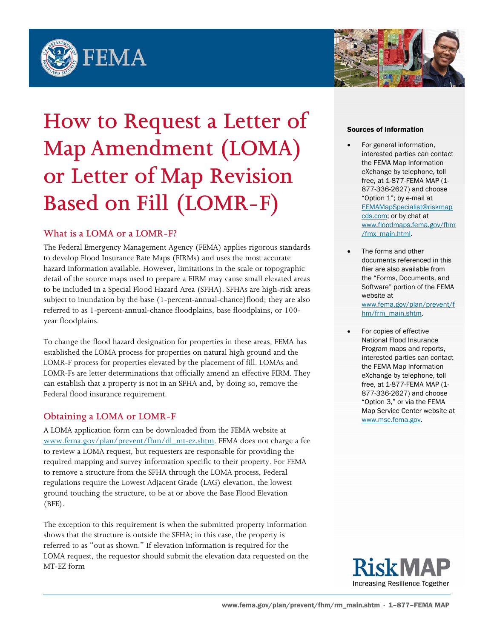



# **How to Request a Letter of Map Amendment (LOMA) or Letter of Map Revision Based on Fill (LOMR-F)**

## **What is a LOMA or a LOMR-F?**

The Federal Emergency Management Agency (FEMA) applies rigorous standards to develop Flood Insurance Rate Maps (FIRMs) and uses the most accurate hazard information available. However, limitations in the scale or topographic detail of the source maps used to prepare a FIRM may cause small elevated areas to be included in a Special Flood Hazard Area (SFHA). SFHAs are high-risk areas subject to inundation by the base (1-percent-annual-chance)flood; they are also referred to as 1-percent-annual-chance floodplains, base floodplains, or 100 year floodplains.

To change the flood hazard designation for properties in these areas, FEMA has established the LOMA process for properties on natural high ground and the LOMR-F process for properties elevated by the placement of fill. LOMAs and LOMR-Fs are letter determinations that officially amend an effective FIRM. They can establish that a property is not in an SFHA and, by doing so, remove the Federal flood insurance requirement.

## **Obtaining a LOMA or LOMR-F**

A LOMA application form can be downloaded from the FEMA website at www.fema.gov/plan/prevent/fhm/dl\_mt-ez.shtm. FEMA does not charge a fee to review a LOMA request, but requesters are responsible for providing the required mapping and survey information specific to their property. For FEMA to remove a structure from the SFHA through the LOMA process, Federal regulations require the Lowest Adjacent Grade (LAG) elevation, the lowest ground touching the structure, to be at or above the Base Flood Elevation (BFE).

The exception to this requirement is when the submitted property information shows that the structure is outside the SFHA; in this case, the property is referred to as "out as shown." If elevation information is required for the LOMA request, the requestor should submit the elevation data requested on the MT-EZ form

#### Sources of Information

- For general information, interested parties can contact the FEMA Map Information eXchange by telephone, toll free, at 1-877-FEMA MAP (1- 877-336-2627) and choose "Option 1"; by e-mail at FEMAMapSpecialist@riskmap cds.com; or by chat at www.floodmaps.fema.gov/fhm /fmx\_main.html.
- The forms and other documents referenced in this flier are also available from the "Forms, Documents, and Software" portion of the FEMA website at www.fema.gov/plan/prevent/f hm/frm\_main.shtm.
- For copies of effective National Flood Insurance Program maps and reports, interested parties can contact the FEMA Map Information eXchange by telephone, toll free, at 1-877-FEMA MAP (1- 877-336-2627) and choose "Option 3," or via the FEMA Map Service Center website at www.msc.fema.gov.